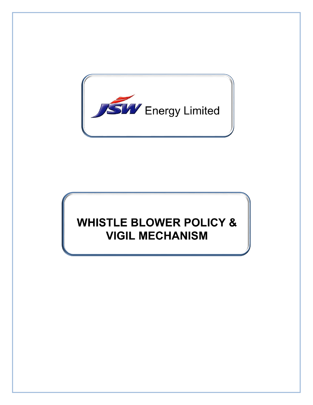

# **WHISTLE BLOWER POLICY & VIGIL MECHANISM**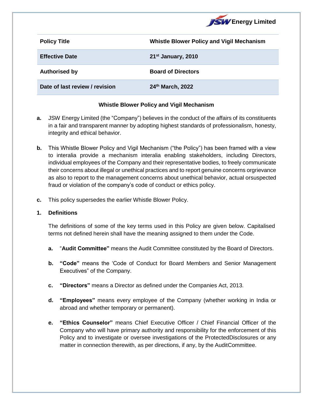

| <b>Policy Title</b>            | <b>Whistle Blower Policy and Vigil Mechanism</b> |
|--------------------------------|--------------------------------------------------|
| <b>Effective Date</b>          | 21 <sup>st</sup> January, 2010                   |
| <b>Authorised by</b>           | <b>Board of Directors</b>                        |
| Date of last review / revision | 24th March, 2022                                 |

## **Whistle Blower Policy and Vigil Mechanism**

- **a.** JSW Energy Limited (the "Company") believes in the conduct of the affairs of its constituents in a fair and transparent manner by adopting highest standards of professionalism, honesty, integrity and ethical behavior.
- **b.** This Whistle Blower Policy and Vigil Mechanism ("the Policy") has been framed with a view to interalia provide a mechanism interalia enabling stakeholders, including Directors, individual employees of the Company and their representative bodies, to freely communicate their concerns about illegal or unethical practices and to report genuine concerns orgrievance as also to report to the management concerns about unethical behavior, actual orsuspected fraud or violation of the company's code of conduct or ethics policy.
- **c.** This policy supersedes the earlier Whistle Blower Policy.

#### **1. Definitions**

The definitions of some of the key terms used in this Policy are given below. Capitalised terms not defined herein shall have the meaning assigned to them under the Code.

- **a.** "**Audit Committee"** means the Audit Committee constituted by the Board of Directors.
- **b. "Code"** means the 'Code of Conduct for Board Members and Senior Management Executives" of the Company.
- **c. "Directors"** means a Director as defined under the Companies Act, 2013.
- **d. "Employees"** means every employee of the Company (whether working in India or abroad and whether temporary or permanent).
- **e. "Ethics Counselor"** means Chief Executive Officer / Chief Financial Officer of the Company who will have primary authority and responsibility for the enforcement of this Policy and to investigate or oversee investigations of the ProtectedDisclosures or any matter in connection therewith, as per directions, if any, by the AuditCommittee.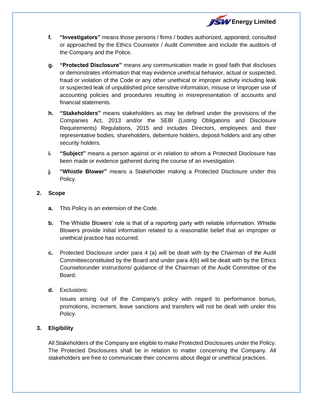

- **f. "Investigators"** means those persons / firms / bodies authorized, appointed, consulted or approached by the Ethics Counselor / Audit Committee and include the auditors of the Company and the Police.
- **g. "Protected Disclosure"** means any communication made in good faith that discloses or demonstrates information that may evidence unethical behavior, actual or suspected, fraud or violation of the Code or any other unethical or improper activity including leak or suspected leak of unpublished price sensitive information, misuse or improper use of accounting policies and procedures resulting in misrepresentation of accounts and financial statements.
- **h. "Stakeholders"** means stakeholders as may be defined under the provisions of the Companies Act, 2013 and/or the SEBI (Listing Obligations and Disclosure Requirements) Regulations, 2015 and includes Directors, employees and their representative bodies, shareholders, debenture holders, deposit holders and any other security holders.
- **i. "Subject"** means a person against or in relation to whom a Protected Disclosure has been made or evidence gathered during the course of an investigation.
- **j. "Whistle Blower"** means a Stakeholder making a Protected Disclosure under this Policy.

#### **2. Scope**

- **a.** This Policy is an extension of the Code.
- **b.** The Whistle Blowers' role is that of a reporting party with reliable information. Whistle Blowers provide initial information related to a reasonable belief that an improper or unethical practice has occurred.
- **c.** Protected Disclosure under para 4 (a) will be dealt with by the Chairman of the Audit Committeeconstituted by the Board and under para 4(b) will be dealt with by the Ethics Counselorunder instructions/ guidance of the Chairman of the Audit Committee of the Board.
- **d.** Exclusions:

Issues arising out of the Company's policy with regard to performance bonus, promotions, increment, leave sanctions and transfers will not be dealt with under this Policy.

## **3. Eligibility**

All Stakeholders of the Company are eligible to make Protected Disclosures under the Policy. The Protected Disclosures shall be in relation to matter concerning the Company. All stakeholders are free to communicate their concerns about illegal or unethical practices.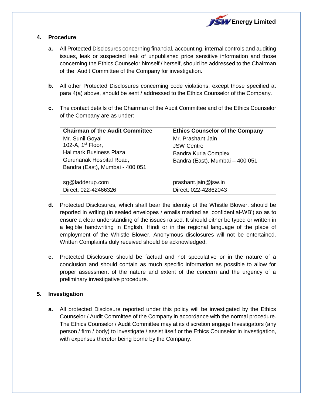

# **4. Procedure**

- **a.** All Protected Disclosures concerning financial, accounting, internal controls and auditing issues, leak or suspected leak of unpublished price sensitive information and those concerning the Ethics Counselor himself / herself, should be addressed to the Chairman of the Audit Committee of the Company for investigation.
- **b.** All other Protected Disclosures concerning code violations, except those specified at para 4(a) above, should be sent / addressed to the Ethics Counselor of the Company.
- **c.** The contact details of the Chairman of the Audit Committee and of the Ethics Counselor of the Company are as under:

| <b>Chairman of the Audit Committee</b> | <b>Ethics Counselor of the Company</b> |
|----------------------------------------|----------------------------------------|
| Mr. Sunil Goyal                        | Mr. Prashant Jain                      |
| 102-A, 1 <sup>st</sup> Floor,          | <b>JSW Centre</b>                      |
| Hallmark Business Plaza,               | <b>Bandra Kurla Complex</b>            |
| Gurunanak Hospital Road,               | Bandra (East), Mumbai - 400 051        |
| Bandra (East), Mumbai - 400 051        |                                        |
|                                        |                                        |
| sg@ladderup.com                        | prashant.jain@jsw.in                   |
| Direct: 022-42466326                   | Direct: 022-42862043                   |

- **d.** Protected Disclosures, which shall bear the identity of the Whistle Blower, should be reported in writing (in sealed envelopes / emails marked as 'confidential-WB') so as to ensure a clear understanding of the issues raised. It should either be typed or written in a legible handwriting in English, Hindi or in the regional language of the place of employment of the Whistle Blower. Anonymous disclosures will not be entertained. Written Complaints duly received should be acknowledged.
- **e.** Protected Disclosure should be factual and not speculative or in the nature of a conclusion and should contain as much specific information as possible to allow for proper assessment of the nature and extent of the concern and the urgency of a preliminary investigative procedure.

## **5. Investigation**

**a.** All protected Disclosure reported under this policy will be investigated by the Ethics Counselor / Audit Committee of the Company in accordance with the normal procedure. The Ethics Counselor / Audit Committee may at its discretion engage Investigators (any person / firm / body) to investigate / assist itself or the Ethics Counselor in investigation, with expenses therefor being borne by the Company.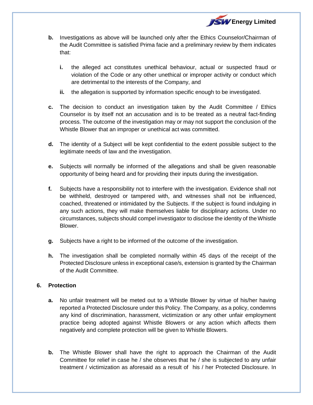

- **b.** Investigations as above will be launched only after the Ethics Counselor/Chairman of the Audit Committee is satisfied Prima facie and a preliminary review by them indicates that:
	- **i.** the alleged act constitutes unethical behaviour, actual or suspected fraud or violation of the Code or any other unethical or improper activity or conduct which are detrimental to the interests of the Company, and
	- **ii.** the allegation is supported by information specific enough to be investigated.
- **c.** The decision to conduct an investigation taken by the Audit Committee / Ethics Counselor is by itself not an accusation and is to be treated as a neutral fact-finding process. The outcome of the investigation may or may not support the conclusion of the Whistle Blower that an improper or unethical act was committed.
- **d.** The identity of a Subject will be kept confidential to the extent possible subject to the legitimate needs of law and the investigation.
- **e.** Subjects will normally be informed of the allegations and shall be given reasonable opportunity of being heard and for providing their inputs during the investigation.
- **f.** Subjects have a responsibility not to interfere with the investigation. Evidence shall not be withheld, destroyed or tampered with, and witnesses shall not be influenced, coached, threatened or intimidated by the Subjects. If the subject is found indulging in any such actions, they will make themselves liable for disciplinary actions. Under no circumstances, subjects should compel investigator to disclose the identity of the Whistle Blower.
- **g.** Subjects have a right to be informed of the outcome of the investigation.
- **h.** The investigation shall be completed normally within 45 days of the receipt of the Protected Disclosure unless in exceptional case/s, extension is granted by the Chairman of the Audit Committee.

## **6. Protection**

- **a.** No unfair treatment will be meted out to a Whistle Blower by virtue of his/her having reported a Protected Disclosure under this Policy. The Company, as a policy, condemns any kind of discrimination, harassment, victimization or any other unfair employment practice being adopted against Whistle Blowers or any action which affects them negatively and complete protection will be given to Whistle Blowers.
- **b.** The Whistle Blower shall have the right to approach the Chairman of the Audit Committee for relief in case he / she observes that he / she is subjected to any unfair treatment / victimization as aforesaid as a result of his / her Protected Disclosure. In